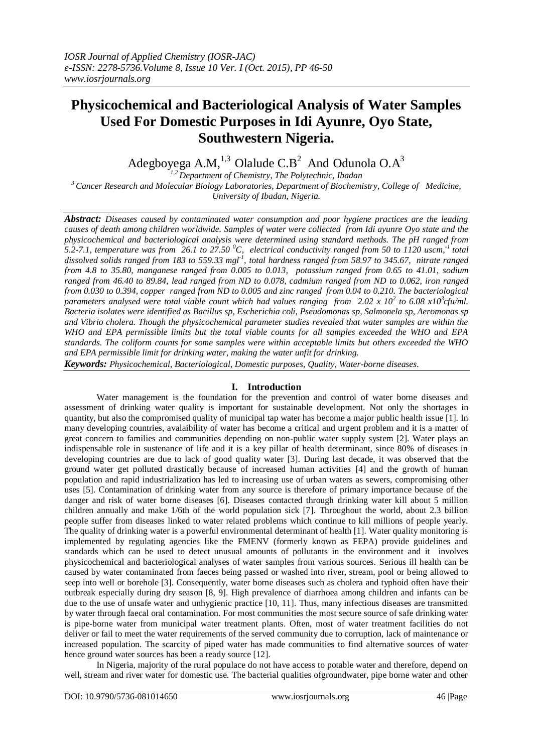# **Physicochemical and Bacteriological Analysis of Water Samples Used For Domestic Purposes in Idi Ayunre, Oyo State, Southwestern Nigeria.**

Adegboyega A.M,<sup>1,3</sup> Olalude C.B<sup>2</sup> And Odunola O.A<sup>3</sup>

*1,2 Department of Chemistry, The Polytechnic, Ibadan <sup>3</sup>Cancer Research and Molecular Biology Laboratories, Department of Biochemistry, College of Medicine, University of Ibadan, Nigeria.*

*Abstract: Diseases caused by contaminated water consumption and poor hygiene practices are the leading causes of death among children worldwide. Samples of water were collected from Idi ayunre Oyo state and the physicochemical and bacteriological analysis were determined using standard methods. The pH ranged from 5.2-7.1, temperature was from 26.1 to 27.50 <sup>0</sup>C, electrical conductivity ranged from 50 to 1120 uscm, -1 total dissolved solids ranged from 183 to 559.33 mgl-1 , total hardness ranged from 58.97 to 345.67, nitrate ranged from 4.8 to 35.80, manganese ranged from 0.005 to 0.013, potassium ranged from 0.65 to 41.01, sodium ranged from 46.40 to 89.84, lead ranged from ND to 0.078, cadmium ranged from ND to 0.062, iron ranged from 0.030 to 0.394, copper ranged from ND to 0.005 and zinc ranged from 0.04 to 0.210. The bacteriological parameters analysed were total viable count which had values ranging from 2.02 x 10<sup>2</sup> to 6.08 x10<sup>3</sup> cfu/ml. Bacteria isolates were identified as Bacillus sp, Escherichia coli, Pseudomonas sp, Salmonela sp, Aeromonas sp and Vibrio cholera. Though the physicochemical parameter studies revealed that water samples are within the WHO and EPA permissible limits but the total viable counts for all samples exceeded the WHO and EPA standards. The coliform counts for some samples were within acceptable limits but others exceeded the WHO and EPA permissible limit for drinking water, making the water unfit for drinking.*

*Keywords: Physicochemical, Bacteriological, Domestic purposes, Quality, Water-borne diseases.*

# **I. Introduction**

Water management is the foundation for the prevention and control of water borne diseases and assessment of drinking water quality is important for sustainable development. Not only the shortages in quantity, but also the compromised quality of municipal tap water has become a major public health issue [1]. In many developing countries, avalaibility of water has become a critical and urgent problem and it is a matter of great concern to families and communities depending on non-public water supply system [2]. Water plays an indispensable role in sustenance of life and it is a key pillar of health determinant, since 80% of diseases in developing countries are due to lack of good quality water [3]. During last decade, it was observed that the ground water get polluted drastically because of increased human activities [4] and the growth of human population and rapid industrialization has led to increasing use of urban waters as sewers, compromising other uses [5]. Contamination of drinking water from any source is therefore of primary importance because of the danger and risk of water borne diseases [6]. Diseases contacted through drinking water kill about 5 million children annually and make 1/6th of the world population sick [7]. Throughout the world, about 2.3 billion people suffer from diseases linked to water related problems which continue to kill millions of people yearly. The quality of drinking water is a powerful environmental determinant of health [1]. Water quality monitoring is implemented by regulating agencies like the FMENV (formerly known as FEPA) provide guidelines and standards which can be used to detect unusual amounts of pollutants in the environment and it involves physicochemical and bacteriological analyses of water samples from various sources. Serious ill health can be caused by water contaminated from faeces being passed or washed into river, stream, pool or being allowed to seep into well or borehole [3]. Consequently, water borne diseases such as cholera and typhoid often have their outbreak especially during dry season [8, 9]. High prevalence of diarrhoea among children and infants can be due to the use of unsafe water and unhygienic practice [10, 11]. Thus, many infectious diseases are transmitted by water through faecal oral contamination. For most communities the most secure source of safe drinking water is pipe-borne water from municipal water treatment plants. Often, most of water treatment facilities do not deliver or fail to meet the water requirements of the served community due to corruption, lack of maintenance or increased population. The scarcity of piped water has made communities to find alternative sources of water hence ground water sources has been a ready source [12].

In Nigeria, majority of the rural populace do not have access to potable water and therefore, depend on well, stream and river water for domestic use. The bacterial qualities ofgroundwater, pipe borne water and other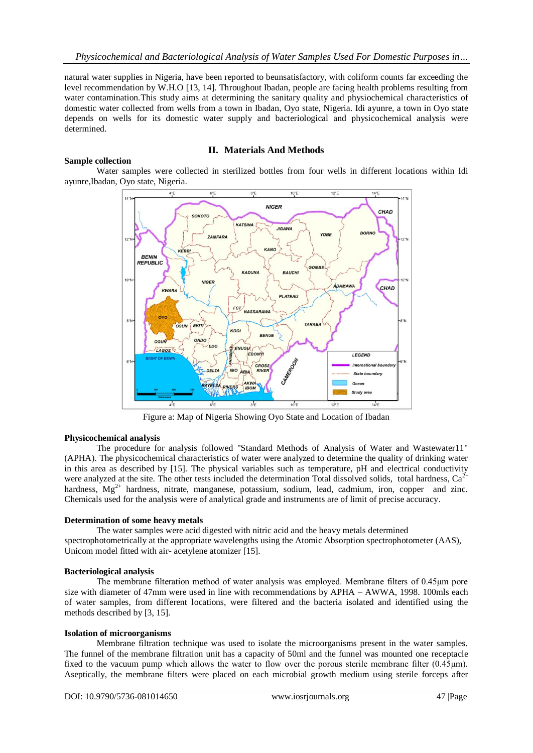natural water supplies in Nigeria, have been reported to beunsatisfactory, with coliform counts far exceeding the level recommendation by W.H.O [13, 14]. Throughout Ibadan, people are facing health problems resulting from water contamination.This study aims at determining the sanitary quality and physiochemical characteristics of domestic water collected from wells from a town in Ibadan, Oyo state, Nigeria. Idi ayunre, a town in Oyo state depends on wells for its domestic water supply and bacteriological and physicochemical analysis were determined.

### **Sample collection**

# **II. Materials And Methods**

Water samples were collected in sterilized bottles from four wells in different locations within Idi ayunre,Ibadan, Oyo state, Nigeria.



Figure a: Map of Nigeria Showing Oyo State and Location of Ibadan

#### **Physicochemical analysis**

The procedure for analysis followed "Standard Methods of Analysis of Water and Wastewater11" (APHA). The physicochemical characteristics of water were analyzed to determine the quality of drinking water in this area as described by [15]. The physical variables such as temperature, pH and electrical conductivity were analyzed at the site. The other tests included the determination Total dissolved solids, total hardness,  $Ca^{2+}$ hardness,  $Mg^{2+}$  hardness, nitrate, manganese, potassium, sodium, lead, cadmium, iron, copper and zinc. Chemicals used for the analysis were of analytical grade and instruments are of limit of precise accuracy.

#### **Determination of some heavy metals**

The water samples were acid digested with nitric acid and the heavy metals determined spectrophotometrically at the appropriate wavelengths using the Atomic Absorption spectrophotometer (AAS), Unicom model fitted with air- acetylene atomizer [15].

#### **Bacteriological analysis**

The membrane filteration method of water analysis was employed. Membrane filters of 0.45μm pore size with diameter of 47mm were used in line with recommendations by APHA – AWWA, 1998. 100mls each of water samples, from different locations, were filtered and the bacteria isolated and identified using the methods described by [3, 15].

#### **Isolation of microorganisms**

Membrane filtration technique was used to isolate the microorganisms present in the water samples. The funnel of the membrane filtration unit has a capacity of 50ml and the funnel was mounted one receptacle fixed to the vacuum pump which allows the water to flow over the porous sterile membrane filter (0.45μm). Aseptically, the membrane filters were placed on each microbial growth medium using sterile forceps after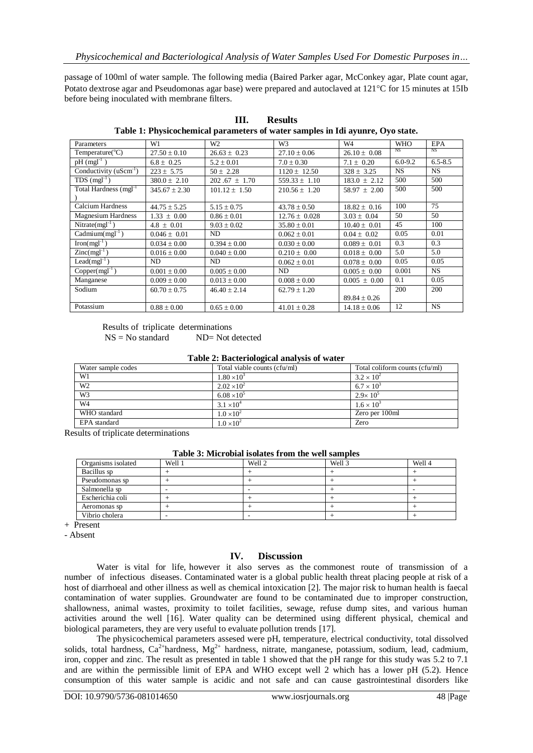passage of 100ml of water sample. The following media (Baired Parker agar, McConkey agar, Plate count agar, Potato dextrose agar and Pseudomonas agar base) were prepared and autoclaved at 121<sup>o</sup>C for 15 minutes at 15Ib before being inoculated with membrane filters.

| Parameters                        | W1               | W <sub>2</sub>   | W <sub>3</sub>    | W4               | <b>WHO</b>  | <b>EPA</b>  |
|-----------------------------------|------------------|------------------|-------------------|------------------|-------------|-------------|
| Temperature( ${}^{\circ}$ C)      | $27.50 \pm 0.10$ | $26.63 \pm 0.23$ | $27.10 \pm 0.06$  | $26.10 \pm 0.08$ | NS          | NS          |
| $pH$ (mgl <sup>-1</sup> )         | $6.8 \pm 0.25$   | $5.2 + 0.01$     | $7.0 \pm 0.30$    | $7.1 \pm 0.20$   | $6.0 - 9.2$ | $6.5 - 8.5$ |
| Conductivity $(uSem-1)$           | $223 + 5.75$     | $50 \pm 2.28$    | $1120 + 12.50$    | $328 + 3.25$     | <b>NS</b>   | <b>NS</b>   |
| $TDS$ (mgl <sup>-1</sup> )        | $380.0 \pm 2.10$ | $202.67 + 1.70$  | $559.33 \pm 1.10$ | $183.0 \pm 2.12$ | 500         | 500         |
| Total Hardness (mgl <sup>-1</sup> | $345.67 + 2.30$  | $101.12 + 1.50$  | $210.56 + 1.20$   | $58.97 + 2.00$   | 500         | 500         |
|                                   |                  |                  |                   |                  |             |             |
| <b>Calcium Hardness</b>           | $44.75 \pm 5.25$ | $5.15 \pm 0.75$  | $43.78 + 0.50$    | $18.82 \pm 0.16$ | 100         | 75          |
| <b>Magnesium Hardness</b>         | $1.33 \pm 0.00$  | $0.86 \pm 0.01$  | $12.76 \pm 0.028$ | $3.03 \pm 0.04$  | 50          | 50          |
| Nitrate( $mgl^{-1}$ )             | $4.8 \pm 0.01$   | $9.03 \pm 0.02$  | $35.80 \pm 0.01$  | $10.40 \pm 0.01$ | 45          | 100         |
| $C^{\text{admium}(mgl^{-1})}$     | $0.046 \pm 0.01$ | ND               | $0.062 \pm 0.01$  | $0.04 \pm 0.02$  | 0.05        | 0.01        |
| $\text{Iron}(mgl^{-1})$           | $0.034 \pm 0.00$ | $0.394 \pm 0.00$ | $0.030 \pm 0.00$  | $0.089 \pm 0.01$ | 0.3         | 0.3         |
| $Zinc(mgl^{-1})$                  | $0.016 \pm 0.00$ | $0.040 \pm 0.00$ | $0.210 \pm 0.00$  | $0.018 \pm 0.00$ | 5.0         | 5.0         |
| $\text{Lead}(mgl^{-1})$           | ND               | ND               | $0.062 \pm 0.01$  | $0.078 \pm 0.00$ | 0.05        | 0.05        |
| $Copper(mgl-1)$                   | $0.001 \pm 0.00$ | $0.005 \pm 0.00$ | ND                | $0.005 \pm 0.00$ | 0.001       | <b>NS</b>   |
| Manganese                         | $0.009 \pm 0.00$ | $0.013 \pm 0.00$ | $0.008 \pm 0.00$  | $0.005 \pm 0.00$ | 0.1         | 0.05        |
| Sodium                            | $60.70 \pm 0.75$ | $46.40 \pm 2.14$ | $62.79 \pm 1.20$  |                  | 200         | 200         |
|                                   |                  |                  |                   | $89.84 \pm 0.26$ |             |             |
| Potassium                         | $0.88 \pm 0.00$  | $0.65 \pm 0.00$  | $41.01 \pm 0.28$  | $14.18 \pm 0.06$ | 12          | <b>NS</b>   |

**III. Results Table 1: Physicochemical parameters of water samples in Idi ayunre, Oyo state.**

Results of triplicate determinations<br> $NS = No$  standard  $ND = Not$ ND= Not detected

**Table 2: Bacteriological analysis of water**

| Water sample codes | Total viable counts (cfu/ml) | Total coliform counts (cfu/ml) |
|--------------------|------------------------------|--------------------------------|
| W1                 | $1.80 \times 10^{3}$         | $3.2 \times 10^{2}$            |
| W <sub>2</sub>     | $2.02 \times 10^{2}$         | $6.7 \times 10^{3}$            |
| W <sub>3</sub>     | $6.08 \times 10^{5}$         | $2.9 \times 10^{5}$            |
| W <sub>4</sub>     | $3.1 \times 10^{4}$          | $1.6 \times 10^{3}$            |
| WHO standard       | $1.0 \times 10^{2}$          | Zero per 100ml                 |
| EPA standard       | $1.0 \times 10^{2}$          | Zero                           |

Results of triplicate determinations

| Table 3. MICTOBIAI ISOIACS ITOIL THE WEIL SAILIFIES |        |        |        |        |  |  |  |  |
|-----------------------------------------------------|--------|--------|--------|--------|--|--|--|--|
| Organisms isolated                                  | Well 1 | Well 2 | Well 3 | Well 4 |  |  |  |  |
| Bacillus sp                                         |        |        |        |        |  |  |  |  |
| Pseudomonas sp                                      |        |        |        |        |  |  |  |  |
| Salmonella sp                                       |        |        |        |        |  |  |  |  |
| Escherichia coli                                    |        |        |        |        |  |  |  |  |
| Aeromonas sp                                        |        |        |        |        |  |  |  |  |

**Table 3: Microbial isolates from the well samples**

Vibrio cholera  $\begin{vmatrix} - & \cdot & \cdot & \cdot \\ \cdot & \cdot & \cdot & \cdot \\ \cdot & \cdot & \cdot & \cdot \end{vmatrix}$  +  $\begin{vmatrix} + & \cdot & \cdot & \cdot \\ \cdot & \cdot & \cdot & \cdot \\ \cdot & \cdot & \cdot & \cdot \end{vmatrix}$  + + Present

- Absent

# **IV. Discussion**

Water is vital for life, however it also serves as the commonest route of transmission of a number of infectious diseases. Contaminated water is a global public health threat placing people at risk of a host of diarrhoeal and other illness as well as chemical intoxication [2]. The major risk to human health is faecal contamination of water supplies. Groundwater are found to be contaminated due to improper construction, shallowness, animal wastes, proximity to toilet facilities, sewage, refuse dump sites, and various human activities around the well [16]. Water quality can be determined using different physical, chemical and biological parameters, they are very useful to evaluate pollution trends [17].

The physicochemical parameters assesed were pH, temperature, electrical conductivity, total dissolved solids, total hardness, Ca<sup>2+</sup>hardness, Mg<sup>2+</sup> hardness, nitrate, manganese, potassium, sodium, lead, cadmium, iron, copper and zinc. The result as presented in table 1 showed that the pH range for this study was 5.2 to 7.1 and are within the permissible limit of EPA and WHO except well 2 which has a lower pH (5.2). Hence consumption of this water sample is acidic and not safe and can cause gastrointestinal disorders like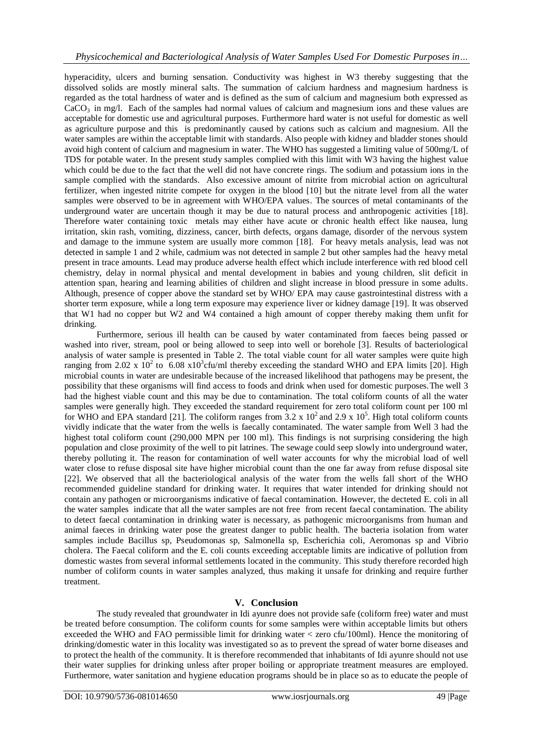hyperacidity, ulcers and burning sensation. Conductivity was highest in W3 thereby suggesting that the dissolved solids are mostly mineral salts. The summation of calcium hardness and magnesium hardness is regarded as the total hardness of water and is defined as the sum of calcium and magnesium both expressed as  $CaCO<sub>3</sub>$  in mg/l. Each of the samples had normal values of calcium and magnesium ions and these values are acceptable for domestic use and agricultural purposes. Furthermore hard water is not useful for domestic as well as agriculture purpose and this is predominantly caused by cations such as calcium and magnesium. All the water samples are within the acceptable limit with standards. Also people with kidney and bladder stones should avoid high content of calcium and magnesium in water. The WHO has suggested a limiting value of 500mg/L of TDS for potable water. In the present study samples complied with this limit with W3 having the highest value which could be due to the fact that the well did not have concrete rings. The sodium and potassium ions in the sample complied with the standards. Also excessive amount of nitrite from microbial action on agricultural fertilizer, when ingested nitrite compete for oxygen in the blood [10] but the nitrate level from all the water samples were observed to be in agreement with WHO/EPA values. The sources of metal contaminants of the underground water are uncertain though it may be due to natural process and anthropogenic activities [18]. Therefore water containing toxic metals may either have acute or chronic health effect like nausea, lung irritation, skin rash, vomiting, dizziness, cancer, birth defects, organs damage, disorder of the nervous system and damage to the immune system are usually more common [18]. For heavy metals analysis, lead was not detected in sample 1 and 2 while, cadmium was not detected in sample 2 but other samples had the heavy metal present in trace amounts. Lead may produce adverse health effect which include interference with red blood cell chemistry, delay in normal physical and mental development in babies and young children, slit deficit in attention span, hearing and learning abilities of children and slight increase in blood pressure in some adults. Although, presence of copper above the standard set by WHO/ EPA may cause gastrointestinal distress with a shorter term exposure, while a long term exposure may experience liver or kidney damage [19]. It was observed that W1 had no copper but W2 and W4 contained a high amount of copper thereby making them unfit for drinking.

Furthermore, serious ill health can be caused by water contaminated from faeces being passed or washed into river, stream, pool or being allowed to seep into well or borehole [3]. Results of bacteriological analysis of water sample is presented in Table 2. The total viable count for all water samples were quite high ranging from 2.02 x  $10^2$  to 6.08 x10<sup>3</sup>cfu/ml thereby exceeding the standard WHO and EPA limits [20]. High microbial counts in water are undesirable because of the increased likelihood that pathogens may be present, the possibility that these organisms will find access to foods and drink when used for domestic purposes.The well 3 had the highest viable count and this may be due to contamination. The total coliform counts of all the water samples were generally high. They exceeded the standard requirement for zero total coliform count per 100 ml for WHO and EPA standard [21]. The coliform ranges from  $3.2 \times 10^2$  and  $2.9 \times 10^5$ . High total coliform counts vividly indicate that the water from the wells is faecally contaminated. The water sample from Well 3 had the highest total coliform count (290,000 MPN per 100 ml). This findings is not surprising considering the high population and close proximity of the well to pit latrines. The sewage could seep slowly into underground water, thereby polluting it. The reason for contamination of well water accounts for why the microbial load of well water close to refuse disposal site have higher microbial count than the one far away from refuse disposal site [22]. We observed that all the bacteriological analysis of the water from the wells fall short of the WHO recommended guideline standard for drinking water. It requires that water intended for drinking should not contain any pathogen or microorganisms indicative of faecal contamination. However, the decteted E. coli in all the water samples indicate that all the water samples are not free from recent faecal contamination. The ability to detect faecal contamination in drinking water is necessary, as pathogenic microorganisms from human and animal faeces in drinking water pose the greatest danger to public health. The bacteria isolation from water samples include Bacillus sp, Pseudomonas sp, Salmonella sp, Escherichia coli, Aeromonas sp and Vibrio cholera. The Faecal coliform and the E. coli counts exceeding acceptable limits are indicative of pollution from domestic wastes from several informal settlements located in the community. This study therefore recorded high number of coliform counts in water samples analyzed, thus making it unsafe for drinking and require further treatment.

# **V. Conclusion**

The study revealed that groundwater in Idi ayunre does not provide safe (coliform free) water and must be treated before consumption. The coliform counts for some samples were within acceptable limits but others exceeded the WHO and FAO permissible limit for drinking water < zero cfu/100ml). Hence the monitoring of drinking/domestic water in this locality was investigated so as to prevent the spread of water borne diseases and to protect the health of the community. It is therefore recommended that inhabitants of Idi ayunre should not use their water supplies for drinking unless after proper boiling or appropriate treatment measures are employed. Furthermore, water sanitation and hygiene education programs should be in place so as to educate the people of